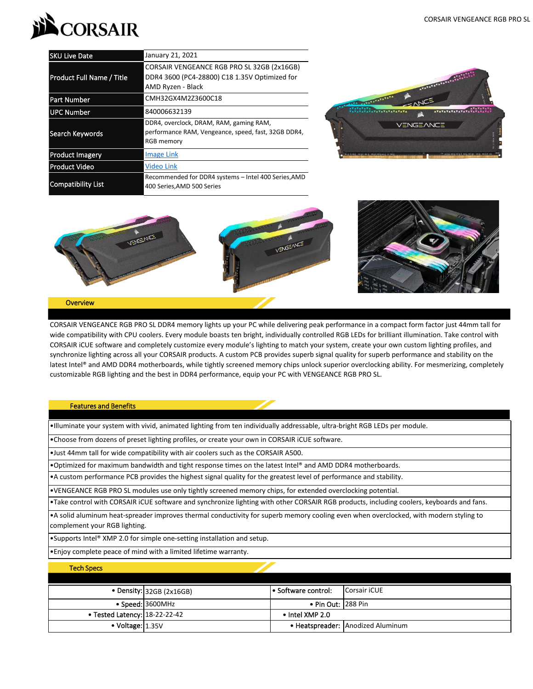

| <b>SKU Live Date</b>             | January 21, 2021                                                                                                    |  |  |
|----------------------------------|---------------------------------------------------------------------------------------------------------------------|--|--|
| <b>Product Full Name / Title</b> | CORSAIR VENGEANCE RGB PRO SL 32GB (2x16GB)<br>DDR4 3600 (PC4-28800) C18 1.35V Optimized for<br>AMD Ryzen - Black    |  |  |
| <b>Part Number</b>               | CMH32GX4M2Z3600C18                                                                                                  |  |  |
| UPC Number                       | 840006632139                                                                                                        |  |  |
| Search Keywords                  | DDR4, overclock, DRAM, RAM, gaming RAM,<br>performance RAM, Vengeance, speed, fast, 32GB DDR4,<br><b>RGB</b> memory |  |  |
| <b>Product Imagery</b>           | <b>Image Link</b>                                                                                                   |  |  |
| <b>Product Video</b>             | Video Link                                                                                                          |  |  |
| <b>Compatibility List</b>        | Recommended for DDR4 systems - Intel 400 Series, AMD<br>400 Series, AMD 500 Series                                  |  |  |





## **Overview**

CORSAIR VENGEANCE RGB PRO SL DDR4 memory lights up your PC while delivering peak performance in a compact form factor just 44mm tall for wide compatibility with CPU coolers. Every module boasts ten bright, individually controlled RGB LEDs for brilliant illumination. Take control with CORSAIR iCUE software and completely customize every module's lighting to match your system, create your own custom lighting profiles, and synchronize lighting across all your CORSAIR products. A custom PCB provides superb signal quality for superb performance and stability on the latest Intel® and AMD DDR4 motherboards, while tightly screened memory chips unlock superior overclocking ability. For mesmerizing, completely customizable RGB lighting and the best in DDR4 performance, equip your PC with VENGEANCE RGB PRO SL.

## Features and Benefits

•Illuminate your system with vivid, animated lighting from ten individually addressable, ultra-bright RGB LEDs per module.

•Choose from dozens of preset lighting profiles, or create your own in CORSAIR iCUE software.

•Just 44mm tall for wide compatibility with air coolers such as the CORSAIR A500.

•Optimized for maximum bandwidth and tight response times on the latest Intel® and AMD DDR4 motherboards.

•A custom performance PCB provides the highest signal quality for the greatest level of performance and stability.

•VENGEANCE RGB PRO SL modules use only tightly screened memory chips, for extended overclocking potential.

•Take control with CORSAIR iCUE software and synchronize lighting with other CORSAIR RGB products, including coolers, keyboards and fans.

•A solid aluminum heat-spreader improves thermal conductivity for superb memory cooling even when overclocked, with modern styling to complement your RGB lighting.

•Supports Intel® XMP 2.0 for simple one-setting installation and setup.

•Enjoy complete peace of mind with a limited lifetime warranty.

| <b>Tech Specs</b>                       |                            |                         |                                   |
|-----------------------------------------|----------------------------|-------------------------|-----------------------------------|
|                                         |                            |                         |                                   |
|                                         | • Density: $32GB (2x16GB)$ | l • Software control:   | Corsair iCUE                      |
|                                         | • Speed: 3600MHz           | • Pin Out: 1288 Pin     |                                   |
| $\bullet$ Tested Latency: $18-22-22-42$ |                            | $\bullet$ Intel XMP 2.0 |                                   |
| $\bullet$ Voltage: $1.35V$              |                            |                         | • Heatspreader: Anodized Aluminum |